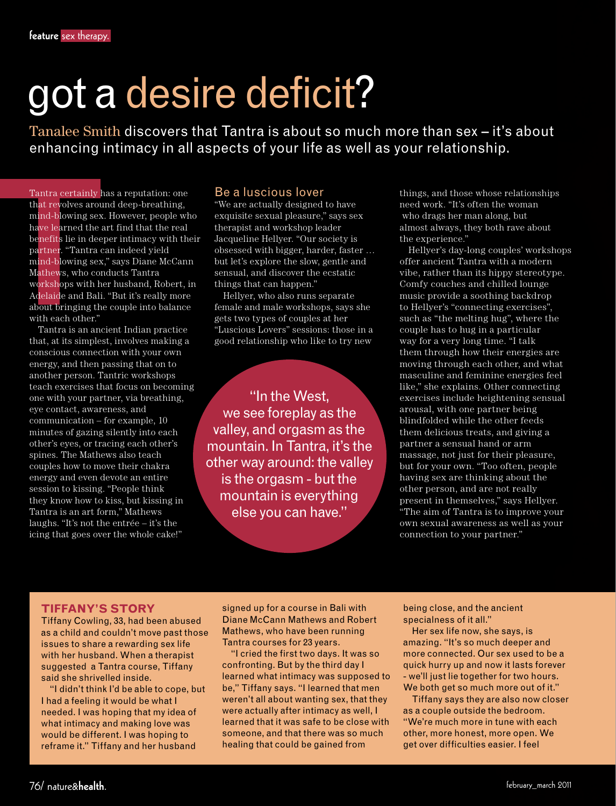# got a desire deficit?

Tanalee Smith discovers that Tantra is about so much more than sex – it's about enhancing intimacy in all aspects of your life as well as your relationship.

Tantra certainly has a reputation: one that revolves around deep-breathing, mind-blowing sex. However, people who have learned the art find that the real benefits lie in deeper intimacy with their partner. "Tantra can indeed yield mind-blowing sex," says Diane McCann Mathews, who conducts Tantra workshops with her husband, Robert, in Adelaide and Bali. "But it's really more about bringing the couple into balance with each other."

Tantra is an ancient Indian practice that, at its simplest, involves making a conscious connection with your own energy, and then passing that on to another person. Tantric workshops teach exercises that focus on becoming one with your partner, via breathing, eye contact, awareness, and communication – for example, 10 minutes of gazing silently into each other's eyes, or tracing each other's spines. The Mathews also teach couples how to move their chakra energy and even devote an entire session to kissing. "People think they know how to kiss, but kissing in Tantra is an art form," Mathews laughs. "It's not the entrée – it's the icing that goes over the whole cake!"

# Be a luscious lover

"We are actually designed to have exquisite sexual pleasure," says sex therapist and workshop leader Jacqueline Hellyer. "Our society is obsessed with bigger, harder, faster … but let's explore the slow, gentle and sensual, and discover the ecstatic things that can happen."

Hellyer, who also runs separate female and male workshops, says she gets two types of couples at her "Luscious Lovers" sessions: those in a good relationship who like to try new

"In the West, we see foreplay as the valley, and orgasm as the mountain. In Tantra, it's the other way around: the valley is the orgasm - but the mountain is everything else you can have."

things, and those whose relationships need work. "It's often the woman who drags her man along, but almost always, they both rave about the experience."

Hellyer's day-long couples' workshops offer ancient Tantra with a modern vibe, rather than its hippy stereotype. Comfy couches and chilled lounge music provide a soothing backdrop to Hellyer's "connecting exercises", such as "the melting hug", where the couple has to hug in a particular way for a very long time. "I talk them through how their energies are moving through each other, and what masculine and feminine energies feel like," she explains. Other connecting exercises include heightening sensual arousal, with one partner being blindfolded while the other feeds them delicious treats, and giving a partner a sensual hand or arm massage, not just for their pleasure, but for your own. "Too often, people having sex are thinking about the other person, and are not really present in themselves," says Hellyer. "The aim of Tantra is to improve your own sexual awareness as well as your connection to your partner."

### **Tiffany's story**

Tiffany Cowling, 33, had been abused as a child and couldn't move past those issues to share a rewarding sex life with her husband. When a therapist suggested a Tantra course, Tiffany said she shrivelled inside.

"I didn't think I'd be able to cope, but I had a feeling it would be what I needed. I was hoping that my idea of what intimacy and making love was would be different. I was hoping to reframe it." Tiffany and her husband

signed up for a course in Bali with Diane McCann Mathews and Robert Mathews, who have been running Tantra courses for 23 years.

"I cried the first two days. It was so confronting. But by the third day I learned what intimacy was supposed to be," Tiffany says. "I learned that men weren't all about wanting sex, that they were actually after intimacy as well, I learned that it was safe to be close with someone, and that there was so much healing that could be gained from

being close, and the ancient specialness of it all."

Her sex life now, she says, is amazing. "It's so much deeper and more connected. Our sex used to be a quick hurry up and now it lasts forever - we'll just lie together for two hours. We both get so much more out of it."

Tiffany says they are also now closer as a couple outside the bedroom. "We're much more in tune with each other, more honest, more open. We get over difficulties easier. I feel